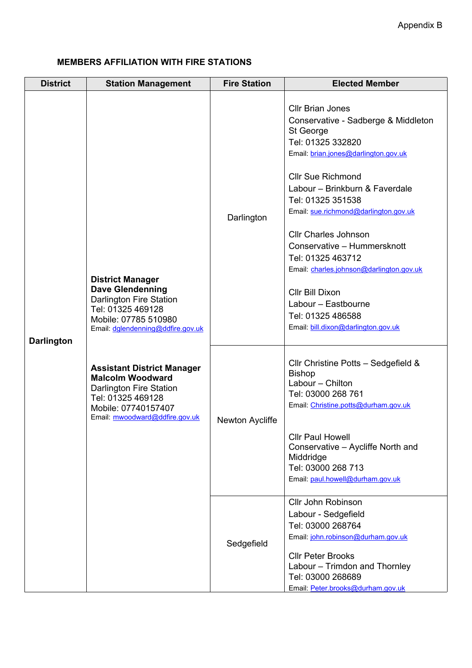## **MEMBERS AFFILIATION WITH FIRE STATIONS**

|                                      |                                                                                                                                                                                                                                                                                                                                                                              | <b>Fire Station</b> | <b>Elected Member</b>                                                                                                                                                                                                                                                                                                                                                                                                                                                                                     |
|--------------------------------------|------------------------------------------------------------------------------------------------------------------------------------------------------------------------------------------------------------------------------------------------------------------------------------------------------------------------------------------------------------------------------|---------------------|-----------------------------------------------------------------------------------------------------------------------------------------------------------------------------------------------------------------------------------------------------------------------------------------------------------------------------------------------------------------------------------------------------------------------------------------------------------------------------------------------------------|
| <b>District</b><br><b>Darlington</b> | <b>Station Management</b><br><b>District Manager</b><br><b>Dave Glendenning</b><br><b>Darlington Fire Station</b><br>Tel: 01325 469128<br>Mobile: 07785 510980<br>Email: dglendenning@ddfire.gov.uk<br><b>Assistant District Manager</b><br><b>Malcolm Woodward</b><br>Darlington Fire Station<br>Tel: 01325 469128<br>Mobile: 07740157407<br>Email: mwoodward@ddfire.gov.uk | Darlington          | <b>Cllr Brian Jones</b><br>Conservative - Sadberge & Middleton<br>St George<br>Tel: 01325 332820<br>Email: brian.jones@darlington.gov.uk<br><b>Cllr Sue Richmond</b><br>Labour - Brinkburn & Faverdale<br>Tel: 01325 351538<br>Email: sue.richmond@darlington.gov.uk<br><b>Cllr Charles Johnson</b><br>Conservative - Hummersknott<br>Tel: 01325 463712<br>Email: charles.johnson@darlington.gov.uk<br>Cllr Bill Dixon<br>Labour - Eastbourne<br>Tel: 01325 486588<br>Email: bill.dixon@darlington.gov.uk |
|                                      |                                                                                                                                                                                                                                                                                                                                                                              | Newton Aycliffe     | CIIr Christine Potts - Sedgefield &<br><b>Bishop</b><br>Labour - Chilton<br>Tel: 03000 268 761<br>Email: Christine.potts@durham.gov.uk<br><b>Cllr Paul Howell</b><br>Conservative - Aycliffe North and<br>Middridge<br>Tel: 03000 268 713<br>Email: paul.howell@durham.gov.uk<br>Cllr John Robinson<br>Labour - Sedgefield                                                                                                                                                                                |
|                                      |                                                                                                                                                                                                                                                                                                                                                                              | Sedgefield          | Tel: 03000 268764<br>Email: john.robinson@durham.gov.uk<br><b>Cllr Peter Brooks</b><br>Labour - Trimdon and Thornley<br>Tel: 03000 268689<br>Email: Peter.brooks@durham.gov.uk                                                                                                                                                                                                                                                                                                                            |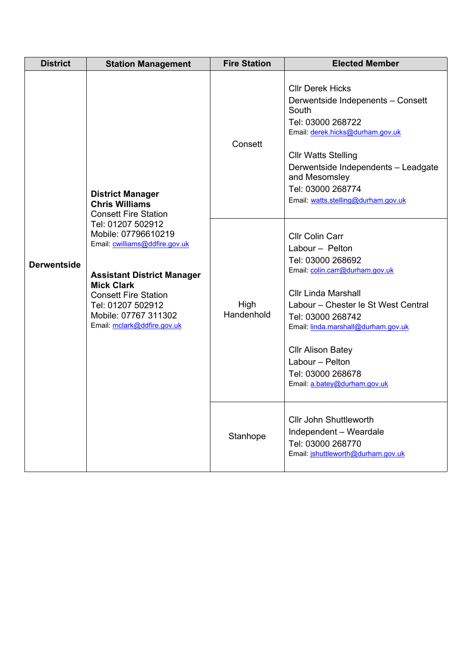| <b>District</b>    | <b>Station Management</b>                                                                                                                                                                                                                                                                                                          | <b>Fire Station</b> | <b>Elected Member</b>                                                                                                                                                                                                                                                                                                                  |
|--------------------|------------------------------------------------------------------------------------------------------------------------------------------------------------------------------------------------------------------------------------------------------------------------------------------------------------------------------------|---------------------|----------------------------------------------------------------------------------------------------------------------------------------------------------------------------------------------------------------------------------------------------------------------------------------------------------------------------------------|
| <b>Derwentside</b> | <b>District Manager</b><br><b>Chris Williams</b><br><b>Consett Fire Station</b><br>Tel: 01207 502912<br>Mobile: 07796610219<br>Email: cwilliams@ddfire.gov.uk<br><b>Assistant District Manager</b><br><b>Mick Clark</b><br><b>Consett Fire Station</b><br>Tel: 01207 502912<br>Mobile: 07767 311302<br>Email: mclark@ddfire.gov.uk | Consett             | <b>Cllr Derek Hicks</b><br>Derwentside Indepenents - Consett<br>South<br>Tel: 03000 268722<br>Email: derek.hicks@durham.gov.uk<br><b>Cllr Watts Stelling</b><br>Derwentside Independents - Leadgate<br>and Mesomsley<br>Tel: 03000 268774<br>Email: watts.stelling@durham.gov.uk                                                       |
|                    |                                                                                                                                                                                                                                                                                                                                    | High<br>Handenhold  | <b>Cllr Colin Carr</b><br>Labour - Pelton<br>Tel: 03000 268692<br>Email: colin.carr@durham.gov.uk<br><b>Cllr Linda Marshall</b><br>Labour - Chester le St West Central<br>Tel: 03000 268742<br>Email: linda.marshall@durham.gov.uk<br><b>Cllr Alison Batey</b><br>Labour - Pelton<br>Tel: 03000 268678<br>Email: a.batey@durham.gov.uk |
|                    |                                                                                                                                                                                                                                                                                                                                    | Stanhope            | <b>Cllr John Shuttleworth</b><br>Independent - Weardale<br>Tel: 03000 268770<br>Email: jshuttleworth@durham.gov.uk                                                                                                                                                                                                                     |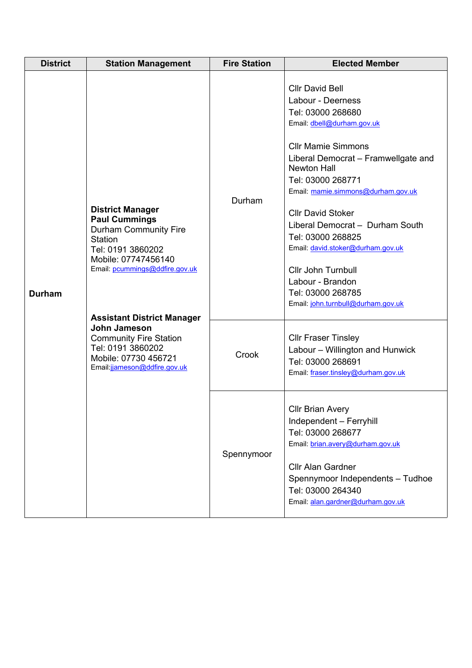| <b>District</b> | <b>Station Management</b>                                                                                                                                                                                                                                                                                                                          | <b>Fire Station</b> | <b>Elected Member</b>                                                                                                                                                                                                                                                                                                                                                                                                                                                                    |
|-----------------|----------------------------------------------------------------------------------------------------------------------------------------------------------------------------------------------------------------------------------------------------------------------------------------------------------------------------------------------------|---------------------|------------------------------------------------------------------------------------------------------------------------------------------------------------------------------------------------------------------------------------------------------------------------------------------------------------------------------------------------------------------------------------------------------------------------------------------------------------------------------------------|
| <b>Durham</b>   | <b>District Manager</b><br><b>Paul Cummings</b><br><b>Durham Community Fire</b><br><b>Station</b><br>Tel: 0191 3860202<br>Mobile: 07747456140<br>Email: pcummings@ddfire.gov.uk<br><b>Assistant District Manager</b><br>John Jameson<br><b>Community Fire Station</b><br>Tel: 0191 3860202<br>Mobile: 07730 456721<br>Email:jjameson@ddfire.gov.uk | Durham              | <b>Cllr David Bell</b><br>Labour - Deerness<br>Tel: 03000 268680<br>Email: dbell@durham.gov.uk<br><b>Cllr Mamie Simmons</b><br>Liberal Democrat - Framwellgate and<br><b>Newton Hall</b><br>Tel: 03000 268771<br>Email: mamie.simmons@durham.gov.uk<br><b>CIIr David Stoker</b><br>Liberal Democrat - Durham South<br>Tel: 03000 268825<br>Email: david.stoker@durham.gov.uk<br><b>Cllr John Turnbull</b><br>Labour - Brandon<br>Tel: 03000 268785<br>Email: john.turnbull@durham.gov.uk |
|                 |                                                                                                                                                                                                                                                                                                                                                    | Crook               | <b>Cllr Fraser Tinsley</b><br>Labour - Willington and Hunwick<br>Tel: 03000 268691<br>Email: fraser.tinsley@durham.gov.uk                                                                                                                                                                                                                                                                                                                                                                |
|                 |                                                                                                                                                                                                                                                                                                                                                    | Spennymoor          | <b>CIIr Brian Avery</b><br>Independent - Ferryhill<br>Tel: 03000 268677<br>Email: brian.avery@durham.gov.uk<br><b>Cllr Alan Gardner</b><br>Spennymoor Independents - Tudhoe<br>Tel: 03000 264340<br>Email: alan.gardner@durham.gov.uk                                                                                                                                                                                                                                                    |